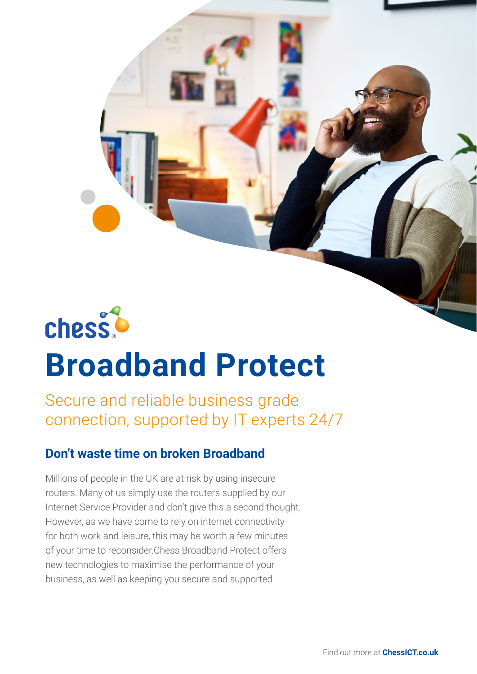

# **Broadband Protect**

Secure and reliable business grade connection, supported by IT experts 24/7

# **Don't waste time on broken Broadband**

Millions of people in the UK are at risk by using insecure routers. Many of us simply use the routers supplied by our Internet Service Provider and don't give this a second thought. However, as we have come to rely on internet connectivity for both work and leisure, this may be worth a few minutes of your time to reconsider.Chess Broadband Protect offers new technologies to maximise the performance of your business, as well as keeping you secure and supported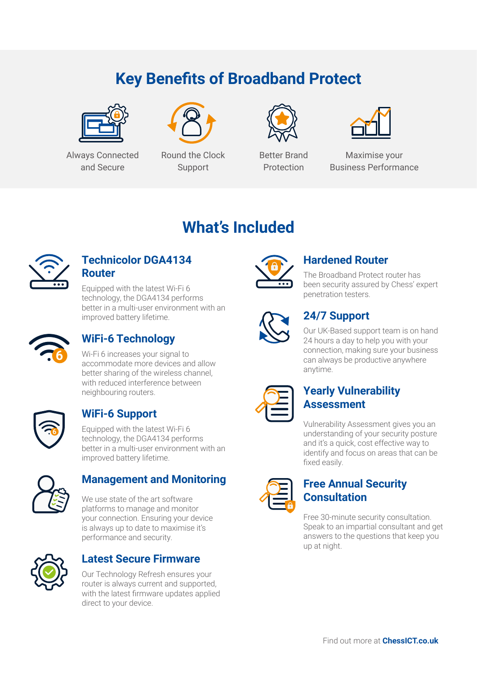# **Key Benefits of Broadband Protect**



Always Connected and Secure



Round the Clock Support



Better Brand Protection



Maximise your Business Performance

# **What's Included**



#### **Technicolor DGA4134 Router**

Equipped with the latest Wi-Fi 6 technology, the DGA4134 performs better in a multi-user environment with an improved battery lifetime.



## **WiFi-6 Technology**

Wi-Fi 6 increases your signal to accommodate more devices and allow better sharing of the wireless channel, with reduced interference between neighbouring routers.



# **WiFi-6 Support**

Equipped with the latest Wi-Fi 6 technology, the DGA4134 performs better in a multi-user environment with an improved battery lifetime.



## **Management and Monitoring**

We use state of the art software platforms to manage and monitor your connection. Ensuring your device is always up to date to maximise it's performance and security.



## **Latest Secure Firmware**

Our Technology Refresh ensures your router is always current and supported, with the latest firmware updates applied direct to your device.



## **Hardened Router**

The Broadband Protect router has been security assured by Chess' expert penetration testers.



# **24/7 Support**

Our UK-Based support team is on hand 24 hours a day to help you with your connection, making sure your business can always be productive anywhere anytime.

#### **Yearly Vulnerability Assessment**

Vulnerability Assessment gives you an understanding of your security posture and it's a quick, cost effective way to identify and focus on areas that can be fixed easily.

#### **Free Annual Security Consultation**

Free 30-minute security consultation. Speak to an impartial consultant and get answers to the questions that keep you up at night.